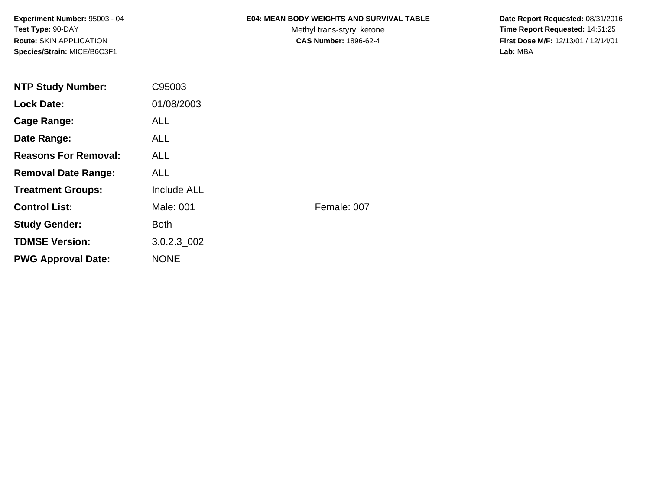**Experiment Number:** 95003 - 04**Test Type:** 90-DAY**Route:** SKIN APPLICATION**Species/Strain:** MICE/B6C3F1

### **E04: MEAN BODY WEIGHTS AND SURVIVAL TABLE**

Methyl trans-styryl ketone<br>CAS Number: 1896-62-4

 **Date Report Requested:** 08/31/2016 **Time Report Requested:** 14:51:25 **First Dose M/F:** 12/13/01 / 12/14/01<br>Lab: MBA **Lab:** MBA

| <b>NTP Study Number:</b>    | C95003             |             |
|-----------------------------|--------------------|-------------|
| <b>Lock Date:</b>           | 01/08/2003         |             |
| <b>Cage Range:</b>          | <b>ALL</b>         |             |
| Date Range:                 | ALL.               |             |
| <b>Reasons For Removal:</b> | ALL.               |             |
| <b>Removal Date Range:</b>  | <b>ALL</b>         |             |
| <b>Treatment Groups:</b>    | <b>Include ALL</b> |             |
| <b>Control List:</b>        | Male: 001          | Female: 007 |
| <b>Study Gender:</b>        | <b>Both</b>        |             |
| <b>TDMSE Version:</b>       | 3.0.2.3 002        |             |
| <b>PWG Approval Date:</b>   | <b>NONE</b>        |             |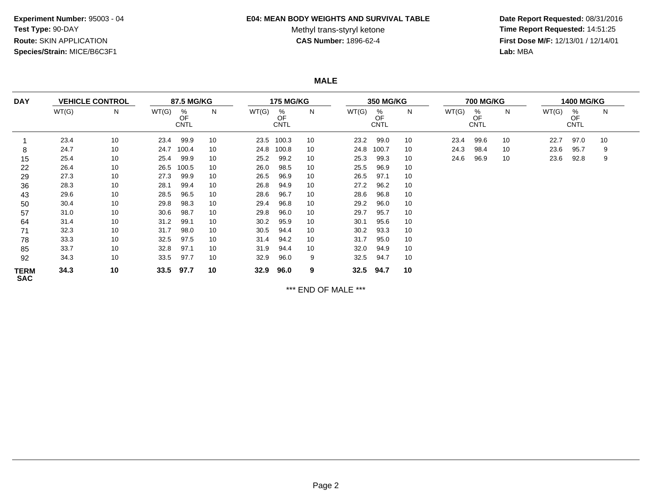#### **E04: MEAN BODY WEIGHTS AND SURVIVAL TABLE**

# Methyl trans-styryl ketone<br>CAS Number: 1896-62-4

 **Date Report Requested:** 08/31/2016 **Time Report Requested:** 14:51:25 **First Dose M/F:** 12/13/01 / 12/14/01<br>Lab: MBA **Lab:** MBA

**MALE**

| <b>DAY</b><br><b>VEHICLE CONTROL</b> |       | 87.5 MG/KG |       |                        | <b>175 MG/KG</b> |       |                        |    | <b>350 MG/KG</b> |                        |    | <b>700 MG/KG</b> |                        |    | <b>1400 MG/KG</b> |                        |    |  |
|--------------------------------------|-------|------------|-------|------------------------|------------------|-------|------------------------|----|------------------|------------------------|----|------------------|------------------------|----|-------------------|------------------------|----|--|
|                                      | WT(G) | N          | WT(G) | %<br>OF<br><b>CNTL</b> | N                | WT(G) | %<br>OF<br><b>CNTL</b> | N  | WT(G)            | %<br>OF<br><b>CNTL</b> | N  | WT(G)            | %<br>OF<br><b>CNTL</b> | N  | WT(G)             | %<br>OF<br><b>CNTL</b> | N  |  |
|                                      | 23.4  | 10         | 23.4  | 99.9                   | 10               | 23.5  | 100.3                  | 10 | 23.2             | 99.0                   | 10 | 23.4             | 99.6                   | 10 | 22.7              | 97.0                   | 10 |  |
| 8                                    | 24.7  | 10         | 24.7  | 100.4                  | 10               | 24.8  | 100.8                  | 10 | 24.8             | 100.7                  | 10 | 24.3             | 98.4                   | 10 | 23.6              | 95.7                   | 9  |  |
| 15                                   | 25.4  | 10         | 25.4  | 99.9                   | 10               | 25.2  | 99.2                   | 10 | 25.3             | 99.3                   | 10 | 24.6             | 96.9                   | 10 | 23.6              | 92.8                   | 9  |  |
| 22                                   | 26.4  | 10         | 26.5  | 100.5                  | 10               | 26.0  | 98.5                   | 10 | 25.5             | 96.9                   | 10 |                  |                        |    |                   |                        |    |  |
| 29                                   | 27.3  | 10         | 27.3  | 99.9                   | 10               | 26.5  | 96.9                   | 10 | 26.5             | 97.1                   | 10 |                  |                        |    |                   |                        |    |  |
| 36                                   | 28.3  | 10         | 28.1  | 99.4                   | 10               | 26.8  | 94.9                   | 10 | 27.2             | 96.2                   | 10 |                  |                        |    |                   |                        |    |  |
| 43                                   | 29.6  | 10         | 28.5  | 96.5                   | 10               | 28.6  | 96.7                   | 10 | 28.6             | 96.8                   | 10 |                  |                        |    |                   |                        |    |  |
| 50                                   | 30.4  | 10         | 29.8  | 98.3                   | 10               | 29.4  | 96.8                   | 10 | 29.2             | 96.0                   | 10 |                  |                        |    |                   |                        |    |  |
| 57                                   | 31.0  | 10         | 30.6  | 98.7                   | 10               | 29.8  | 96.0                   | 10 | 29.7             | 95.7                   | 10 |                  |                        |    |                   |                        |    |  |
| 64                                   | 31.4  | 10         | 31.2  | 99.1                   | 10               | 30.2  | 95.9                   | 10 | 30.1             | 95.6                   | 10 |                  |                        |    |                   |                        |    |  |
| 71                                   | 32.3  | 10         | 31.7  | 98.0                   | 10               | 30.5  | 94.4                   | 10 | 30.2             | 93.3                   | 10 |                  |                        |    |                   |                        |    |  |
| 78                                   | 33.3  | 10         | 32.5  | 97.5                   | 10               | 31.4  | 94.2                   | 10 | 31.7             | 95.0                   | 10 |                  |                        |    |                   |                        |    |  |
| 85                                   | 33.7  | 10         | 32.8  | 97.1                   | 10               | 31.9  | 94.4                   | 10 | 32.0             | 94.9                   | 10 |                  |                        |    |                   |                        |    |  |
| 92                                   | 34.3  | 10         | 33.5  | 97.7                   | 10               | 32.9  | 96.0                   | 9  | 32.5             | 94.7                   | 10 |                  |                        |    |                   |                        |    |  |
| <b>TERM</b><br><b>SAC</b>            | 34.3  | 10         | 33.5  | 97.7                   | 10               | 32.9  | 96.0                   | 9  | 32.5             | 94.7                   | 10 |                  |                        |    |                   |                        |    |  |

\*\*\* END OF MALE \*\*\*